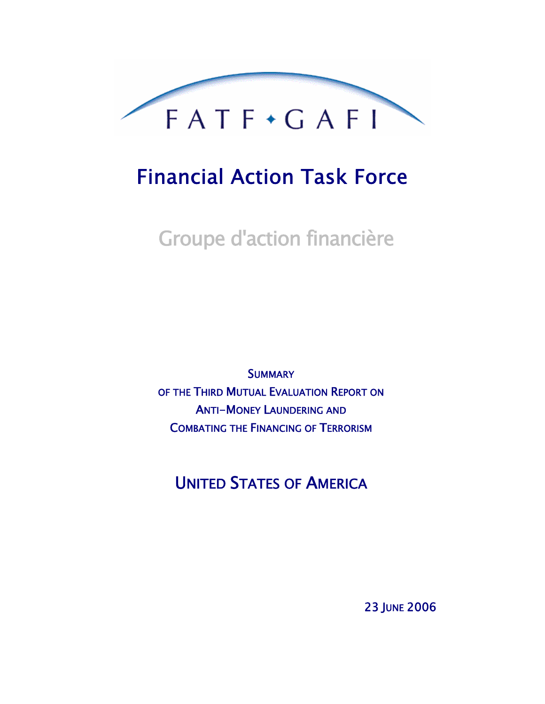

# Financial Action Task Force

Groupe d'action financière

**SUMMARY** OF THE THIRD MUTUAL EVALUATION REPORT ON ANTI-MONEY LAUNDERING AND COMBATING THE FINANCING OF TERRORISM

UNITED STATES OF AMERICA

23 JUNE 2006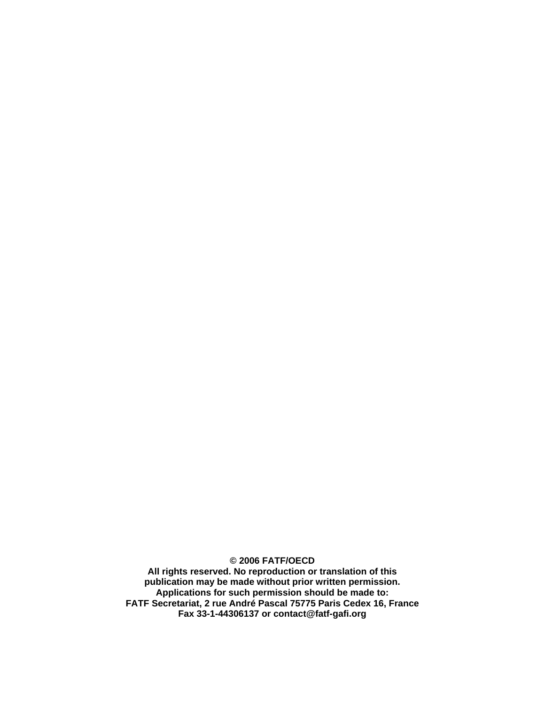**© 2006 FATF/OECD** 

**All rights reserved. No reproduction or translation of this publication may be made without prior written permission. Applications for such permission should be made to: FATF Secretariat, 2 rue André Pascal 75775 Paris Cedex 16, France Fax 33-1-44306137 or contact@fatf-gafi.org**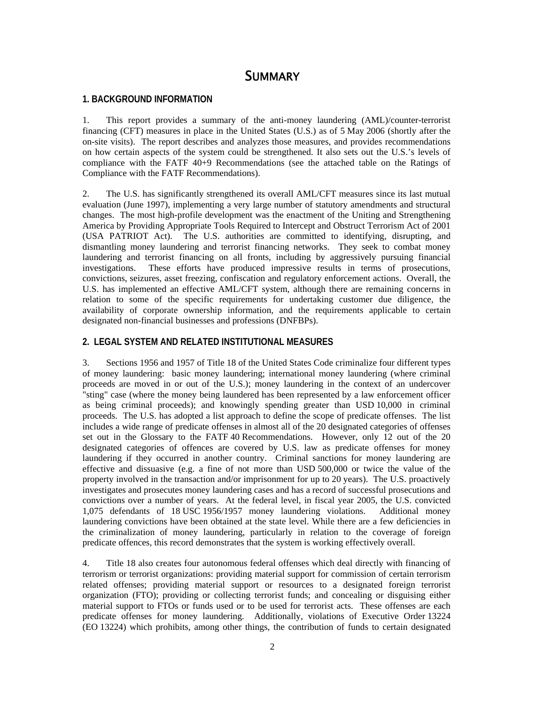# **SUMMARY**

## **1. BACKGROUND INFORMATION**

1. This report provides a summary of the anti-money laundering (AML)/counter-terrorist financing (CFT) measures in place in the United States (U.S.) as of 5 May 2006 (shortly after the on-site visits). The report describes and analyzes those measures, and provides recommendations on how certain aspects of the system could be strengthened. It also sets out the U.S.'s levels of compliance with the FATF 40+9 Recommendations (see the attached table on the Ratings of Compliance with the FATF Recommendations).

2. The U.S. has significantly strengthened its overall AML/CFT measures since its last mutual evaluation (June 1997), implementing a very large number of statutory amendments and structural changes. The most high-profile development was the enactment of the Uniting and Strengthening America by Providing Appropriate Tools Required to Intercept and Obstruct Terrorism Act of 2001 (USA PATRIOT Act). The U.S. authorities are committed to identifying, disrupting, and dismantling money laundering and terrorist financing networks. They seek to combat money laundering and terrorist financing on all fronts, including by aggressively pursuing financial investigations. These efforts have produced impressive results in terms of prosecutions, convictions, seizures, asset freezing, confiscation and regulatory enforcement actions. Overall, the U.S. has implemented an effective AML/CFT system, although there are remaining concerns in relation to some of the specific requirements for undertaking customer due diligence, the availability of corporate ownership information, and the requirements applicable to certain designated non-financial businesses and professions (DNFBPs).

#### **2. LEGAL SYSTEM AND RELATED INSTITUTIONAL MEASURES**

3. Sections 1956 and 1957 of Title 18 of the United States Code criminalize four different types of money laundering: basic money laundering; international money laundering (where criminal proceeds are moved in or out of the U.S.); money laundering in the context of an undercover "sting" case (where the money being laundered has been represented by a law enforcement officer as being criminal proceeds); and knowingly spending greater than USD 10,000 in criminal proceeds. The U.S. has adopted a list approach to define the scope of predicate offenses. The list includes a wide range of predicate offenses in almost all of the 20 designated categories of offenses set out in the Glossary to the FATF 40 Recommendations. However, only 12 out of the 20 designated categories of offences are covered by U.S. law as predicate offenses for money laundering if they occurred in another country. Criminal sanctions for money laundering are effective and dissuasive (e.g. a fine of not more than USD 500,000 or twice the value of the property involved in the transaction and/or imprisonment for up to 20 years). The U.S. proactively investigates and prosecutes money laundering cases and has a record of successful prosecutions and convictions over a number of years. At the federal level, in fiscal year 2005, the U.S. convicted 1,075 defendants of 18 USC 1956/1957 money laundering violations. Additional money laundering convictions have been obtained at the state level. While there are a few deficiencies in the criminalization of money laundering, particularly in relation to the coverage of foreign predicate offences, this record demonstrates that the system is working effectively overall.

4. Title 18 also creates four autonomous federal offenses which deal directly with financing of terrorism or terrorist organizations: providing material support for commission of certain terrorism related offenses; providing material support or resources to a designated foreign terrorist organization (FTO); providing or collecting terrorist funds; and concealing or disguising either material support to FTOs or funds used or to be used for terrorist acts. These offenses are each predicate offenses for money laundering. Additionally, violations of Executive Order 13224 (EO 13224) which prohibits, among other things, the contribution of funds to certain designated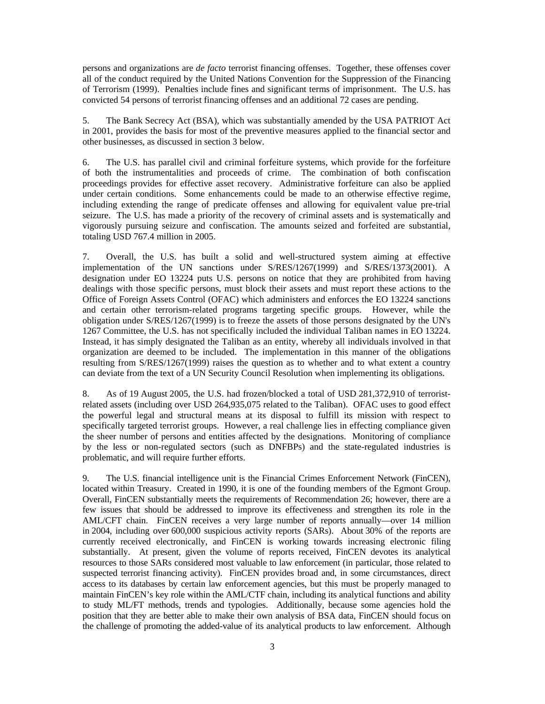persons and organizations are *de facto* terrorist financing offenses. Together, these offenses cover all of the conduct required by the United Nations Convention for the Suppression of the Financing of Terrorism (1999). Penalties include fines and significant terms of imprisonment. The U.S. has convicted 54 persons of terrorist financing offenses and an additional 72 cases are pending.

5. The Bank Secrecy Act (BSA), which was substantially amended by the USA PATRIOT Act in 2001, provides the basis for most of the preventive measures applied to the financial sector and other businesses, as discussed in section 3 below.

6. The U.S. has parallel civil and criminal forfeiture systems, which provide for the forfeiture of both the instrumentalities and proceeds of crime. The combination of both confiscation proceedings provides for effective asset recovery. Administrative forfeiture can also be applied under certain conditions. Some enhancements could be made to an otherwise effective regime, including extending the range of predicate offenses and allowing for equivalent value pre-trial seizure. The U.S. has made a priority of the recovery of criminal assets and is systematically and vigorously pursuing seizure and confiscation. The amounts seized and forfeited are substantial, totaling USD 767.4 million in 2005.

7. Overall, the U.S. has built a solid and well-structured system aiming at effective implementation of the UN sanctions under S/RES/1267(1999) and S/RES/1373(2001). A designation under EO 13224 puts U.S. persons on notice that they are prohibited from having dealings with those specific persons, must block their assets and must report these actions to the Office of Foreign Assets Control (OFAC) which administers and enforces the EO 13224 sanctions and certain other terrorism-related programs targeting specific groups. However, while the obligation under S/RES/1267(1999) is to freeze the assets of those persons designated by the UN's 1267 Committee, the U.S. has not specifically included the individual Taliban names in EO 13224. Instead, it has simply designated the Taliban as an entity, whereby all individuals involved in that organization are deemed to be included. The implementation in this manner of the obligations resulting from S/RES/1267(1999) raises the question as to whether and to what extent a country can deviate from the text of a UN Security Council Resolution when implementing its obligations.

8. As of 19 August 2005, the U.S. had frozen/blocked a total of USD 281,372,910 of terroristrelated assets (including over USD 264,935,075 related to the Taliban). OFAC uses to good effect the powerful legal and structural means at its disposal to fulfill its mission with respect to specifically targeted terrorist groups. However, a real challenge lies in effecting compliance given the sheer number of persons and entities affected by the designations. Monitoring of compliance by the less or non-regulated sectors (such as DNFBPs) and the state-regulated industries is problematic, and will require further efforts.

9. The U.S. financial intelligence unit is the Financial Crimes Enforcement Network (FinCEN), located within Treasury. Created in 1990, it is one of the founding members of the Egmont Group. Overall, FinCEN substantially meets the requirements of Recommendation 26; however, there are a few issues that should be addressed to improve its effectiveness and strengthen its role in the AML/CFT chain. FinCEN receives a very large number of reports annually—over 14 million in 2004, including over 600,000 suspicious activity reports (SARs). About 30% of the reports are currently received electronically, and FinCEN is working towards increasing electronic filing substantially. At present, given the volume of reports received, FinCEN devotes its analytical resources to those SARs considered most valuable to law enforcement (in particular, those related to suspected terrorist financing activity). FinCEN provides broad and, in some circumstances, direct access to its databases by certain law enforcement agencies, but this must be properly managed to maintain FinCEN's key role within the AML/CTF chain, including its analytical functions and ability to study ML/FT methods, trends and typologies. Additionally, because some agencies hold the position that they are better able to make their own analysis of BSA data, FinCEN should focus on the challenge of promoting the added-value of its analytical products to law enforcement. Although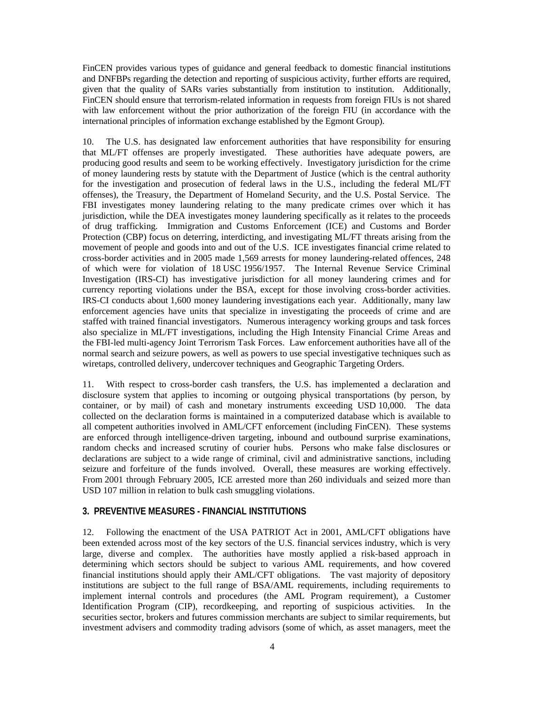FinCEN provides various types of guidance and general feedback to domestic financial institutions and DNFBPs regarding the detection and reporting of suspicious activity, further efforts are required, given that the quality of SARs varies substantially from institution to institution. Additionally, FinCEN should ensure that terrorism-related information in requests from foreign FIUs is not shared with law enforcement without the prior authorization of the foreign FIU (in accordance with the international principles of information exchange established by the Egmont Group).

10. The U.S. has designated law enforcement authorities that have responsibility for ensuring that ML/FT offenses are properly investigated. These authorities have adequate powers, are producing good results and seem to be working effectively. Investigatory jurisdiction for the crime of money laundering rests by statute with the Department of Justice (which is the central authority for the investigation and prosecution of federal laws in the U.S., including the federal ML/FT offenses), the Treasury, the Department of Homeland Security, and the U.S. Postal Service. The FBI investigates money laundering relating to the many predicate crimes over which it has jurisdiction, while the DEA investigates money laundering specifically as it relates to the proceeds of drug trafficking. Immigration and Customs Enforcement (ICE) and Customs and Border Protection (CBP) focus on deterring, interdicting, and investigating ML/FT threats arising from the movement of people and goods into and out of the U.S. ICE investigates financial crime related to cross-border activities and in 2005 made 1,569 arrests for money laundering-related offences, 248 of which were for violation of 18 USC 1956/1957. The Internal Revenue Service Criminal Investigation (IRS-CI) has investigative jurisdiction for all money laundering crimes and for currency reporting violations under the BSA, except for those involving cross-border activities. IRS-CI conducts about 1,600 money laundering investigations each year. Additionally, many law enforcement agencies have units that specialize in investigating the proceeds of crime and are staffed with trained financial investigators. Numerous interagency working groups and task forces also specialize in ML/FT investigations, including the High Intensity Financial Crime Areas and the FBI-led multi-agency Joint Terrorism Task Forces. Law enforcement authorities have all of the normal search and seizure powers, as well as powers to use special investigative techniques such as wiretaps, controlled delivery, undercover techniques and Geographic Targeting Orders.

11. With respect to cross-border cash transfers, the U.S. has implemented a declaration and disclosure system that applies to incoming or outgoing physical transportations (by person, by container, or by mail) of cash and monetary instruments exceeding USD 10,000. The data collected on the declaration forms is maintained in a computerized database which is available to all competent authorities involved in AML/CFT enforcement (including FinCEN). These systems are enforced through intelligence-driven targeting, inbound and outbound surprise examinations, random checks and increased scrutiny of courier hubs. Persons who make false disclosures or declarations are subject to a wide range of criminal, civil and administrative sanctions, including seizure and forfeiture of the funds involved. Overall, these measures are working effectively. From 2001 through February 2005, ICE arrested more than 260 individuals and seized more than USD 107 million in relation to bulk cash smuggling violations.

#### **3. PREVENTIVE MEASURES - FINANCIAL INSTITUTIONS**

12. Following the enactment of the USA PATRIOT Act in 2001, AML/CFT obligations have been extended across most of the key sectors of the U.S. financial services industry, which is very large, diverse and complex. The authorities have mostly applied a risk-based approach in determining which sectors should be subject to various AML requirements, and how covered financial institutions should apply their AML/CFT obligations. The vast majority of depository institutions are subject to the full range of BSA/AML requirements, including requirements to implement internal controls and procedures (the AML Program requirement), a Customer Identification Program (CIP), recordkeeping, and reporting of suspicious activities. In the securities sector, brokers and futures commission merchants are subject to similar requirements, but investment advisers and commodity trading advisors (some of which, as asset managers, meet the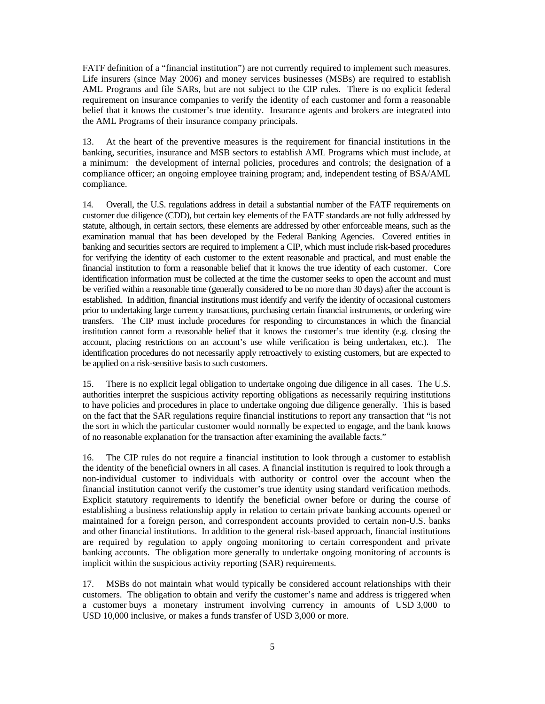FATF definition of a "financial institution") are not currently required to implement such measures. Life insurers (since May 2006) and money services businesses (MSBs) are required to establish AML Programs and file SARs, but are not subject to the CIP rules. There is no explicit federal requirement on insurance companies to verify the identity of each customer and form a reasonable belief that it knows the customer's true identity. Insurance agents and brokers are integrated into the AML Programs of their insurance company principals.

13. At the heart of the preventive measures is the requirement for financial institutions in the banking, securities, insurance and MSB sectors to establish AML Programs which must include, at a minimum: the development of internal policies, procedures and controls; the designation of a compliance officer; an ongoing employee training program; and, independent testing of BSA/AML compliance.

14. Overall, the U.S. regulations address in detail a substantial number of the FATF requirements on customer due diligence (CDD), but certain key elements of the FATF standards are not fully addressed by statute, although, in certain sectors, these elements are addressed by other enforceable means, such as the examination manual that has been developed by the Federal Banking Agencies. Covered entities in banking and securities sectors are required to implement a CIP, which must include risk-based procedures for verifying the identity of each customer to the extent reasonable and practical, and must enable the financial institution to form a reasonable belief that it knows the true identity of each customer. Core identification information must be collected at the time the customer seeks to open the account and must be verified within a reasonable time (generally considered to be no more than 30 days) after the account is established. In addition, financial institutions must identify and verify the identity of occasional customers prior to undertaking large currency transactions, purchasing certain financial instruments, or ordering wire transfers. The CIP must include procedures for responding to circumstances in which the financial institution cannot form a reasonable belief that it knows the customer's true identity (e.g. closing the account, placing restrictions on an account's use while verification is being undertaken, etc.). The identification procedures do not necessarily apply retroactively to existing customers, but are expected to be applied on a risk-sensitive basis to such customers.

15. There is no explicit legal obligation to undertake ongoing due diligence in all cases. The U.S. authorities interpret the suspicious activity reporting obligations as necessarily requiring institutions to have policies and procedures in place to undertake ongoing due diligence generally. This is based on the fact that the SAR regulations require financial institutions to report any transaction that "is not the sort in which the particular customer would normally be expected to engage, and the bank knows of no reasonable explanation for the transaction after examining the available facts."

16. The CIP rules do not require a financial institution to look through a customer to establish the identity of the beneficial owners in all cases. A financial institution is required to look through a non-individual customer to individuals with authority or control over the account when the financial institution cannot verify the customer's true identity using standard verification methods. Explicit statutory requirements to identify the beneficial owner before or during the course of establishing a business relationship apply in relation to certain private banking accounts opened or maintained for a foreign person, and correspondent accounts provided to certain non-U.S. banks and other financial institutions. In addition to the general risk-based approach, financial institutions are required by regulation to apply ongoing monitoring to certain correspondent and private banking accounts. The obligation more generally to undertake ongoing monitoring of accounts is implicit within the suspicious activity reporting (SAR) requirements.

17. MSBs do not maintain what would typically be considered account relationships with their customers. The obligation to obtain and verify the customer's name and address is triggered when a customer buys a monetary instrument involving currency in amounts of USD 3,000 to USD 10,000 inclusive, or makes a funds transfer of USD 3,000 or more.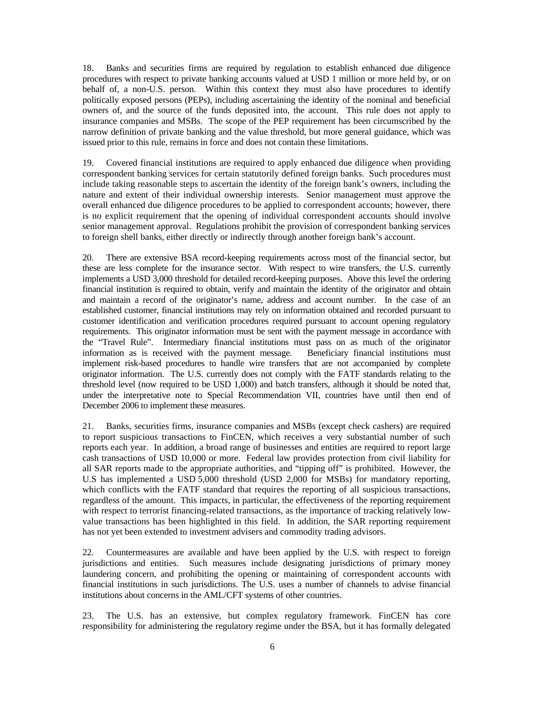18. Banks and securities firms are required by regulation to establish enhanced due diligence procedures with respect to private banking accounts valued at USD 1 million or more held by, or on behalf of, a non-U.S. person. Within this context they must also have procedures to identify politically exposed persons (PEPs), including ascertaining the identity of the nominal and beneficial owners of, and the source of the funds deposited into, the account. This rule does not apply to insurance companies and MSBs. The scope of the PEP requirement has been circumscribed by the narrow definition of private banking and the value threshold, but more general guidance, which was issued prior to this rule, remains in force and does not contain these limitations.

19. Covered financial institutions are required to apply enhanced due diligence when providing correspondent banking services for certain statutorily defined foreign banks. Such procedures must include taking reasonable steps to ascertain the identity of the foreign bank's owners, including the nature and extent of their individual ownership interests. Senior management must approve the overall enhanced due diligence procedures to be applied to correspondent accounts; however, there is no explicit requirement that the opening of individual correspondent accounts should involve senior management approval. Regulations prohibit the provision of correspondent banking services to foreign shell banks, either directly or indirectly through another foreign bank's account.

20. There are extensive BSA record-keeping requirements across most of the financial sector, but these are less complete for the insurance sector. With respect to wire transfers, the U.S. currently implements a USD 3,000 threshold for detailed record-keeping purposes. Above this level the ordering financial institution is required to obtain, verify and maintain the identity of the originator and obtain and maintain a record of the originator's name, address and account number. In the case of an established customer, financial institutions may rely on information obtained and recorded pursuant to customer identification and verification procedures required pursuant to account opening regulatory requirements. This originator information must be sent with the payment message in accordance with the "Travel Rule". Intermediary financial institutions must pass on as much of the originator information as is received with the payment message. Beneficiary financial institutions must implement risk-based procedures to handle wire transfers that are not accompanied by complete originator information. The U.S. currently does not comply with the FATF standards relating to the threshold level (now required to be USD 1,000) and batch transfers, although it should be noted that, under the interpretative note to Special Recommendation VII, countries have until then end of December 2006 to implement these measures.

21. Banks, securities firms, insurance companies and MSBs (except check cashers) are required to report suspicious transactions to FinCEN, which receives a very substantial number of such reports each year. In addition, a broad range of businesses and entities are required to report large cash transactions of USD 10,000 or more. Federal law provides protection from civil liability for all SAR reports made to the appropriate authorities, and "tipping off" is prohibited. However, the U.S has implemented a USD 5,000 threshold (USD 2,000 for MSBs) for mandatory reporting, which conflicts with the FATF standard that requires the reporting of all suspicious transactions, regardless of the amount. This impacts, in particular, the effectiveness of the reporting requirement with respect to terrorist financing-related transactions, as the importance of tracking relatively lowvalue transactions has been highlighted in this field. In addition, the SAR reporting requirement has not yet been extended to investment advisers and commodity trading advisors.

22. Countermeasures are available and have been applied by the U.S. with respect to foreign jurisdictions and entities. Such measures include designating jurisdictions of primary money laundering concern, and prohibiting the opening or maintaining of correspondent accounts with financial institutions in such jurisdictions. The U.S. uses a number of channels to advise financial institutions about concerns in the AML/CFT systems of other countries.

23. The U.S. has an extensive, but complex regulatory framework. FinCEN has core responsibility for administering the regulatory regime under the BSA, but it has formally delegated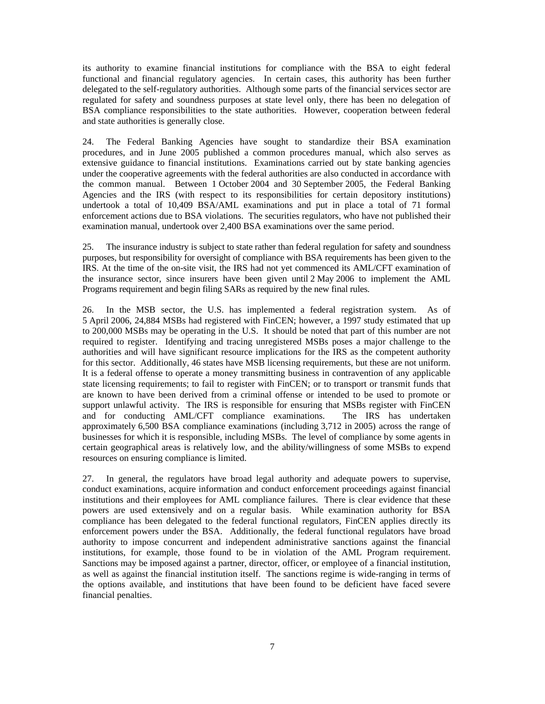its authority to examine financial institutions for compliance with the BSA to eight federal functional and financial regulatory agencies. In certain cases, this authority has been further delegated to the self-regulatory authorities. Although some parts of the financial services sector are regulated for safety and soundness purposes at state level only, there has been no delegation of BSA compliance responsibilities to the state authorities. However, cooperation between federal and state authorities is generally close.

24. The Federal Banking Agencies have sought to standardize their BSA examination procedures, and in June 2005 published a common procedures manual, which also serves as extensive guidance to financial institutions. Examinations carried out by state banking agencies under the cooperative agreements with the federal authorities are also conducted in accordance with the common manual. Between 1 October 2004 and 30 September 2005, the Federal Banking Agencies and the IRS (with respect to its responsibilities for certain depository institutions) undertook a total of 10,409 BSA/AML examinations and put in place a total of 71 formal enforcement actions due to BSA violations. The securities regulators, who have not published their examination manual, undertook over 2,400 BSA examinations over the same period.

25. The insurance industry is subject to state rather than federal regulation for safety and soundness purposes, but responsibility for oversight of compliance with BSA requirements has been given to the IRS. At the time of the on-site visit, the IRS had not yet commenced its AML/CFT examination of the insurance sector, since insurers have been given until 2 May 2006 to implement the AML Programs requirement and begin filing SARs as required by the new final rules.

26. In the MSB sector, the U.S. has implemented a federal registration system. As of 5 April 2006, 24,884 MSBs had registered with FinCEN; however, a 1997 study estimated that up to 200,000 MSBs may be operating in the U.S. It should be noted that part of this number are not required to register. Identifying and tracing unregistered MSBs poses a major challenge to the authorities and will have significant resource implications for the IRS as the competent authority for this sector. Additionally, 46 states have MSB licensing requirements, but these are not uniform. It is a federal offense to operate a money transmitting business in contravention of any applicable state licensing requirements; to fail to register with FinCEN; or to transport or transmit funds that are known to have been derived from a criminal offense or intended to be used to promote or support unlawful activity. The IRS is responsible for ensuring that MSBs register with FinCEN and for conducting AML/CFT compliance examinations. The IRS has undertaken approximately 6,500 BSA compliance examinations (including 3,712 in 2005) across the range of businesses for which it is responsible, including MSBs. The level of compliance by some agents in certain geographical areas is relatively low, and the ability/willingness of some MSBs to expend resources on ensuring compliance is limited.

27. In general, the regulators have broad legal authority and adequate powers to supervise, conduct examinations, acquire information and conduct enforcement proceedings against financial institutions and their employees for AML compliance failures. There is clear evidence that these powers are used extensively and on a regular basis. While examination authority for BSA compliance has been delegated to the federal functional regulators, FinCEN applies directly its enforcement powers under the BSA. Additionally, the federal functional regulators have broad authority to impose concurrent and independent administrative sanctions against the financial institutions, for example, those found to be in violation of the AML Program requirement. Sanctions may be imposed against a partner, director, officer, or employee of a financial institution, as well as against the financial institution itself. The sanctions regime is wide-ranging in terms of the options available, and institutions that have been found to be deficient have faced severe financial penalties.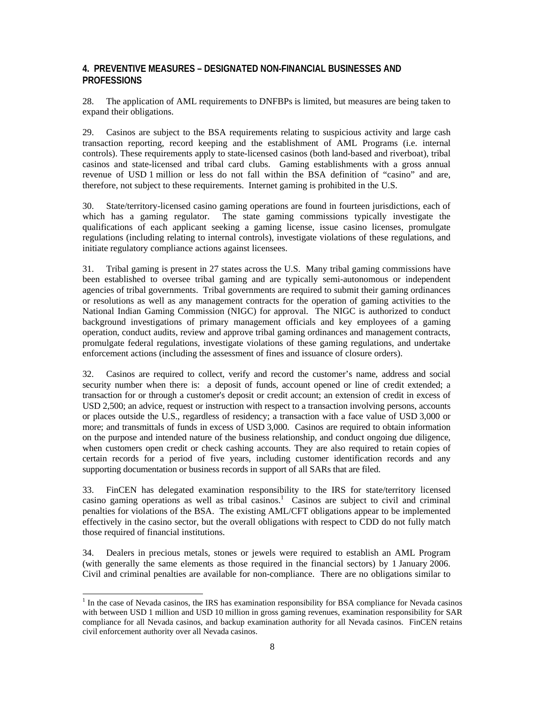## **4. PREVENTIVE MEASURES – DESIGNATED NON-FINANCIAL BUSINESSES AND PROFESSIONS**

28. The application of AML requirements to DNFBPs is limited, but measures are being taken to expand their obligations.

29. Casinos are subject to the BSA requirements relating to suspicious activity and large cash transaction reporting, record keeping and the establishment of AML Programs (i.e. internal controls). These requirements apply to state-licensed casinos (both land-based and riverboat), tribal casinos and state-licensed and tribal card clubs. Gaming establishments with a gross annual revenue of USD 1 million or less do not fall within the BSA definition of "casino" and are, therefore, not subject to these requirements. Internet gaming is prohibited in the U.S.

30. State/territory-licensed casino gaming operations are found in fourteen jurisdictions, each of which has a gaming regulator. The state gaming commissions typically investigate the qualifications of each applicant seeking a gaming license, issue casino licenses, promulgate regulations (including relating to internal controls), investigate violations of these regulations, and initiate regulatory compliance actions against licensees.

31. Tribal gaming is present in 27 states across the U.S. Many tribal gaming commissions have been established to oversee tribal gaming and are typically semi-autonomous or independent agencies of tribal governments. Tribal governments are required to submit their gaming ordinances or resolutions as well as any management contracts for the operation of gaming activities to the National Indian Gaming Commission (NIGC) for approval. The NIGC is authorized to conduct background investigations of primary management officials and key employees of a gaming operation, conduct audits, review and approve tribal gaming ordinances and management contracts, promulgate federal regulations, investigate violations of these gaming regulations, and undertake enforcement actions (including the assessment of fines and issuance of closure orders).

32. Casinos are required to collect, verify and record the customer's name, address and social security number when there is: a deposit of funds, account opened or line of credit extended; a transaction for or through a customer's deposit or credit account; an extension of credit in excess of USD 2,500; an advice, request or instruction with respect to a transaction involving persons, accounts or places outside the U.S., regardless of residency; a transaction with a face value of USD 3,000 or more; and transmittals of funds in excess of USD 3,000. Casinos are required to obtain information on the purpose and intended nature of the business relationship, and conduct ongoing due diligence, when customers open credit or check cashing accounts. They are also required to retain copies of certain records for a period of five years, including customer identification records and any supporting documentation or business records in support of all SARs that are filed.

33. FinCEN has delegated examination responsibility to the IRS for state/territory licensed casino gaming operations as well as tribal casinos.<sup>1</sup> Casinos are subject to civil and criminal penalties for violations of the BSA. The existing AML/CFT obligations appear to be implemented effectively in the casino sector, but the overall obligations with respect to CDD do not fully match those required of financial institutions.

34. Dealers in precious metals, stones or jewels were required to establish an AML Program (with generally the same elements as those required in the financial sectors) by 1 January 2006. Civil and criminal penalties are available for non-compliance. There are no obligations similar to

 $\overline{a}$ 

<sup>&</sup>lt;sup>1</sup> In the case of Nevada casinos, the IRS has examination responsibility for BSA compliance for Nevada casinos with between USD 1 million and USD 10 million in gross gaming revenues, examination responsibility for SAR compliance for all Nevada casinos, and backup examination authority for all Nevada casinos. FinCEN retains civil enforcement authority over all Nevada casinos.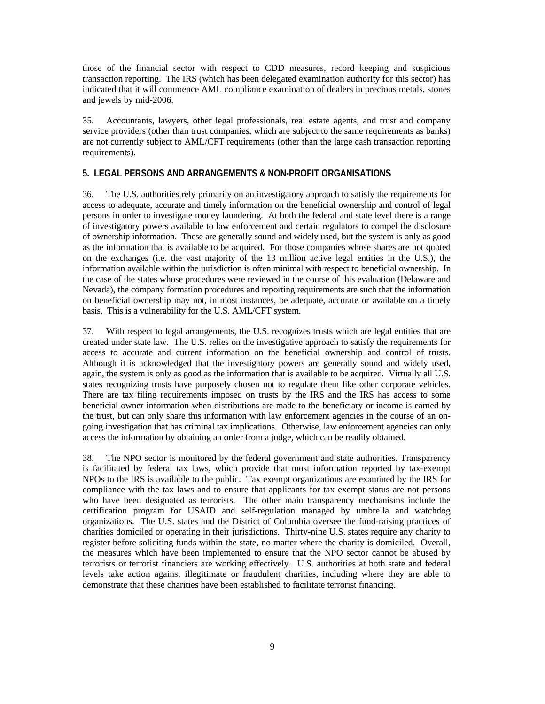those of the financial sector with respect to CDD measures, record keeping and suspicious transaction reporting. The IRS (which has been delegated examination authority for this sector) has indicated that it will commence AML compliance examination of dealers in precious metals, stones and jewels by mid-2006.

35. Accountants, lawyers, other legal professionals, real estate agents, and trust and company service providers (other than trust companies, which are subject to the same requirements as banks) are not currently subject to AML/CFT requirements (other than the large cash transaction reporting requirements).

#### **5. LEGAL PERSONS AND ARRANGEMENTS & NON-PROFIT ORGANISATIONS**

36. The U.S. authorities rely primarily on an investigatory approach to satisfy the requirements for access to adequate, accurate and timely information on the beneficial ownership and control of legal persons in order to investigate money laundering. At both the federal and state level there is a range of investigatory powers available to law enforcement and certain regulators to compel the disclosure of ownership information. These are generally sound and widely used, but the system is only as good as the information that is available to be acquired. For those companies whose shares are not quoted on the exchanges (i.e. the vast majority of the 13 million active legal entities in the U.S.), the information available within the jurisdiction is often minimal with respect to beneficial ownership. In the case of the states whose procedures were reviewed in the course of this evaluation (Delaware and Nevada), the company formation procedures and reporting requirements are such that the information on beneficial ownership may not, in most instances, be adequate, accurate or available on a timely basis. This is a vulnerability for the U.S. AML/CFT system.

37. With respect to legal arrangements, the U.S. recognizes trusts which are legal entities that are created under state law. The U.S. relies on the investigative approach to satisfy the requirements for access to accurate and current information on the beneficial ownership and control of trusts. Although it is acknowledged that the investigatory powers are generally sound and widely used, again, the system is only as good as the information that is available to be acquired. Virtually all U.S. states recognizing trusts have purposely chosen not to regulate them like other corporate vehicles. There are tax filing requirements imposed on trusts by the IRS and the IRS has access to some beneficial owner information when distributions are made to the beneficiary or income is earned by the trust, but can only share this information with law enforcement agencies in the course of an ongoing investigation that has criminal tax implications. Otherwise, law enforcement agencies can only access the information by obtaining an order from a judge, which can be readily obtained.

38. The NPO sector is monitored by the federal government and state authorities. Transparency is facilitated by federal tax laws, which provide that most information reported by tax-exempt NPOs to the IRS is available to the public. Tax exempt organizations are examined by the IRS for compliance with the tax laws and to ensure that applicants for tax exempt status are not persons who have been designated as terrorists. The other main transparency mechanisms include the certification program for USAID and self-regulation managed by umbrella and watchdog organizations. The U.S. states and the District of Columbia oversee the fund-raising practices of charities domiciled or operating in their jurisdictions. Thirty-nine U.S. states require any charity to register before soliciting funds within the state, no matter where the charity is domiciled. Overall, the measures which have been implemented to ensure that the NPO sector cannot be abused by terrorists or terrorist financiers are working effectively. U.S. authorities at both state and federal levels take action against illegitimate or fraudulent charities, including where they are able to demonstrate that these charities have been established to facilitate terrorist financing.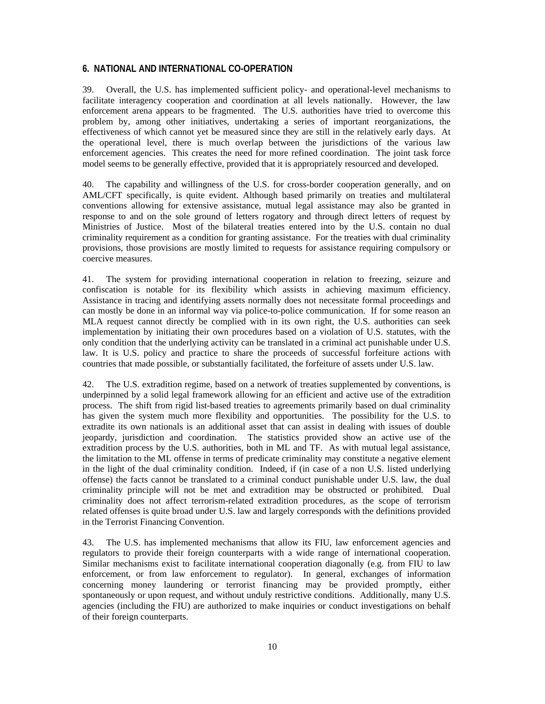#### **6. NATIONAL AND INTERNATIONAL CO-OPERATION**

39. Overall, the U.S. has implemented sufficient policy- and operational-level mechanisms to facilitate interagency cooperation and coordination at all levels nationally. However, the law enforcement arena appears to be fragmented. The U.S. authorities have tried to overcome this problem by, among other initiatives, undertaking a series of important reorganizations, the effectiveness of which cannot yet be measured since they are still in the relatively early days. At the operational level, there is much overlap between the jurisdictions of the various law enforcement agencies. This creates the need for more refined coordination. The joint task force model seems to be generally effective, provided that it is appropriately resourced and developed.

40. The capability and willingness of the U.S. for cross-border cooperation generally, and on AML/CFT specifically, is quite evident. Although based primarily on treaties and multilateral conventions allowing for extensive assistance, mutual legal assistance may also be granted in response to and on the sole ground of letters rogatory and through direct letters of request by Ministries of Justice. Most of the bilateral treaties entered into by the U.S. contain no dual criminality requirement as a condition for granting assistance. For the treaties with dual criminality provisions, those provisions are mostly limited to requests for assistance requiring compulsory or coercive measures.

41. The system for providing international cooperation in relation to freezing, seizure and confiscation is notable for its flexibility which assists in achieving maximum efficiency. Assistance in tracing and identifying assets normally does not necessitate formal proceedings and can mostly be done in an informal way via police-to-police communication. If for some reason an MLA request cannot directly be complied with in its own right, the U.S. authorities can seek implementation by initiating their own procedures based on a violation of U.S. statutes, with the only condition that the underlying activity can be translated in a criminal act punishable under U.S. law. It is U.S. policy and practice to share the proceeds of successful forfeiture actions with countries that made possible, or substantially facilitated, the forfeiture of assets under U.S. law.

42. The U.S. extradition regime, based on a network of treaties supplemented by conventions, is underpinned by a solid legal framework allowing for an efficient and active use of the extradition process. The shift from rigid list-based treaties to agreements primarily based on dual criminality has given the system much more flexibility and opportunities. The possibility for the U.S. to extradite its own nationals is an additional asset that can assist in dealing with issues of double jeopardy, jurisdiction and coordination. The statistics provided show an active use of the extradition process by the U.S. authorities, both in ML and TF. As with mutual legal assistance, the limitation to the ML offense in terms of predicate criminality may constitute a negative element in the light of the dual criminality condition. Indeed, if (in case of a non U.S. listed underlying offense) the facts cannot be translated to a criminal conduct punishable under U.S. law, the dual criminality principle will not be met and extradition may be obstructed or prohibited. Dual criminality does not affect terrorism-related extradition procedures, as the scope of terrorism related offenses is quite broad under U.S. law and largely corresponds with the definitions provided in the Terrorist Financing Convention.

43. The U.S. has implemented mechanisms that allow its FIU, law enforcement agencies and regulators to provide their foreign counterparts with a wide range of international cooperation. Similar mechanisms exist to facilitate international cooperation diagonally (e.g. from FIU to law enforcement, or from law enforcement to regulator). In general, exchanges of information concerning money laundering or terrorist financing may be provided promptly, either spontaneously or upon request, and without unduly restrictive conditions. Additionally, many U.S. agencies (including the FIU) are authorized to make inquiries or conduct investigations on behalf of their foreign counterparts.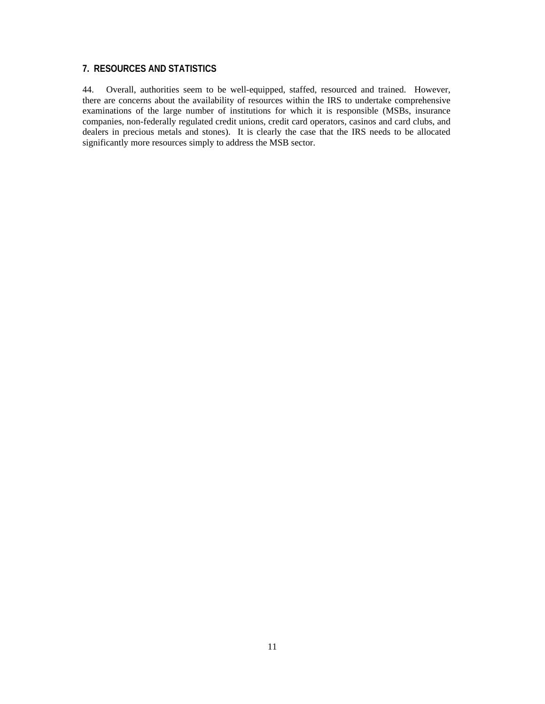# **7. RESOURCES AND STATISTICS**

44. Overall, authorities seem to be well-equipped, staffed, resourced and trained. However, there are concerns about the availability of resources within the IRS to undertake comprehensive examinations of the large number of institutions for which it is responsible (MSBs, insurance companies, non-federally regulated credit unions, credit card operators, casinos and card clubs, and dealers in precious metals and stones). It is clearly the case that the IRS needs to be allocated significantly more resources simply to address the MSB sector.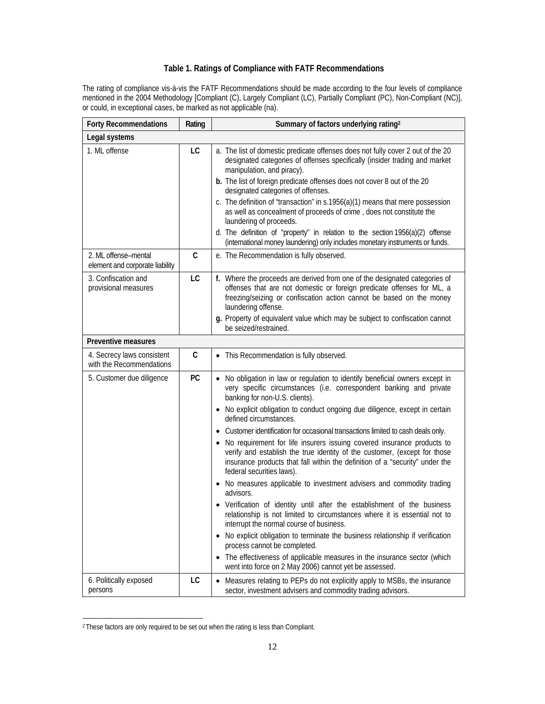#### **Table 1. Ratings of Compliance with FATF Recommendations**

The rating of compliance vis-à-vis the FATF Recommendations should be made according to the four levels of compliance mentioned in the 2004 Methodology [Compliant (C), Largely Compliant (LC), Partially Compliant (PC), Non-Compliant (NC)], or could, in exceptional cases, be marked as not applicable (na).

| <b>Forty Recommendations</b>                            | Rating    | Summary of factors underlying rating <sup>2</sup>                                                                                                                                                                                                                                                                                                                                                                                                                                                                                                                                                                                                                                                                                                                                                                                                                                                                                                                                                                                                                                                                                                                                                                           |
|---------------------------------------------------------|-----------|-----------------------------------------------------------------------------------------------------------------------------------------------------------------------------------------------------------------------------------------------------------------------------------------------------------------------------------------------------------------------------------------------------------------------------------------------------------------------------------------------------------------------------------------------------------------------------------------------------------------------------------------------------------------------------------------------------------------------------------------------------------------------------------------------------------------------------------------------------------------------------------------------------------------------------------------------------------------------------------------------------------------------------------------------------------------------------------------------------------------------------------------------------------------------------------------------------------------------------|
| Legal systems                                           |           |                                                                                                                                                                                                                                                                                                                                                                                                                                                                                                                                                                                                                                                                                                                                                                                                                                                                                                                                                                                                                                                                                                                                                                                                                             |
| 1. ML offense                                           | LC        | a. The list of domestic predicate offenses does not fully cover 2 out of the 20<br>designated categories of offenses specifically (insider trading and market<br>manipulation, and piracy).<br>b. The list of foreign predicate offenses does not cover 8 out of the 20<br>designated categories of offenses.<br>c. The definition of "transaction" in s.1956(a)(1) means that mere possession<br>as well as concealment of proceeds of crime, does not constitute the<br>laundering of proceeds.<br>d. The definition of "property" in relation to the section 1956(a)(2) offense<br>(international money laundering) only includes monetary instruments or funds.                                                                                                                                                                                                                                                                                                                                                                                                                                                                                                                                                         |
| 2. ML offense-mental<br>element and corporate liability | C         | e. The Recommendation is fully observed.                                                                                                                                                                                                                                                                                                                                                                                                                                                                                                                                                                                                                                                                                                                                                                                                                                                                                                                                                                                                                                                                                                                                                                                    |
| 3. Confiscation and<br>provisional measures             | LC        | f. Where the proceeds are derived from one of the designated categories of<br>offenses that are not domestic or foreign predicate offenses for ML, a<br>freezing/seizing or confiscation action cannot be based on the money<br>laundering offense.<br>g. Property of equivalent value which may be subject to confiscation cannot<br>be seized/restrained.                                                                                                                                                                                                                                                                                                                                                                                                                                                                                                                                                                                                                                                                                                                                                                                                                                                                 |
| Preventive measures                                     |           |                                                                                                                                                                                                                                                                                                                                                                                                                                                                                                                                                                                                                                                                                                                                                                                                                                                                                                                                                                                                                                                                                                                                                                                                                             |
| 4. Secrecy laws consistent<br>with the Recommendations  | C         | • This Recommendation is fully observed.                                                                                                                                                                                                                                                                                                                                                                                                                                                                                                                                                                                                                                                                                                                                                                                                                                                                                                                                                                                                                                                                                                                                                                                    |
| 5. Customer due diligence                               | <b>PC</b> | No obligation in law or regulation to identify beneficial owners except in<br>$\bullet$<br>very specific circumstances (i.e. correspondent banking and private<br>banking for non-U.S. clients).<br>No explicit obligation to conduct ongoing due diligence, except in certain<br>defined circumstances.<br>Customer identification for occasional transactions limited to cash deals only.<br>No requirement for life insurers issuing covered insurance products to<br>verify and establish the true identity of the customer, (except for those<br>insurance products that fall within the definition of a "security" under the<br>federal securities laws).<br>No measures applicable to investment advisers and commodity trading<br>advisors.<br>Verification of identity until after the establishment of the business<br>relationship is not limited to circumstances where it is essential not to<br>interrupt the normal course of business.<br>No explicit obligation to terminate the business relationship if verification<br>$\bullet$<br>process cannot be completed.<br>• The effectiveness of applicable measures in the insurance sector (which<br>went into force on 2 May 2006) cannot yet be assessed. |
| 6. Politically exposed<br>persons                       | LC        | Measures relating to PEPs do not explicitly apply to MSBs, the insurance<br>$\bullet$<br>sector, investment advisers and commodity trading advisors.                                                                                                                                                                                                                                                                                                                                                                                                                                                                                                                                                                                                                                                                                                                                                                                                                                                                                                                                                                                                                                                                        |

<sup>2</sup> These factors are only required to be set out when the rating is less than Compliant.

 $\overline{a}$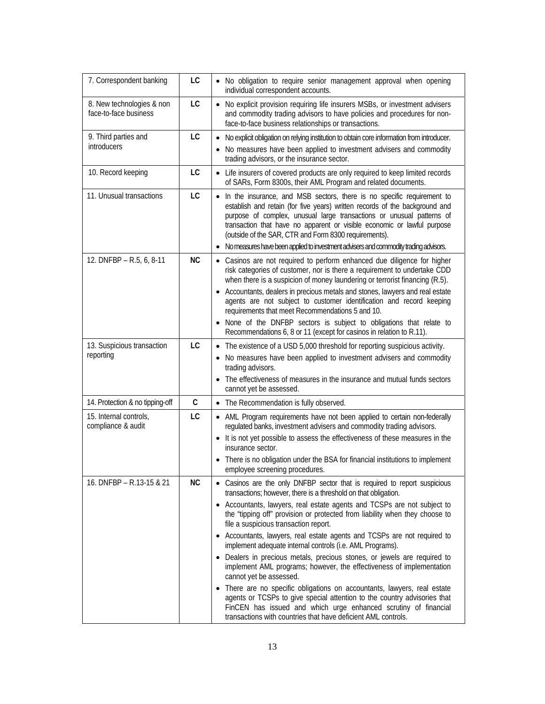| 7. Correspondent banking                           | LC        | • No obligation to require senior management approval when opening<br>individual correspondent accounts.                                                                                                                                                                                                                                                                                                                                      |
|----------------------------------------------------|-----------|-----------------------------------------------------------------------------------------------------------------------------------------------------------------------------------------------------------------------------------------------------------------------------------------------------------------------------------------------------------------------------------------------------------------------------------------------|
| 8. New technologies & non<br>face-to-face business | LC        | • No explicit provision requiring life insurers MSBs, or investment advisers<br>and commodity trading advisors to have policies and procedures for non-<br>face-to-face business relationships or transactions.                                                                                                                                                                                                                               |
| 9. Third parties and<br>introducers                | LC        | No explicit obligation on relying institution to obtain core information from introducer.<br>$\bullet$<br>No measures have been applied to investment advisers and commodity<br>trading advisors, or the insurance sector.                                                                                                                                                                                                                    |
| 10. Record keeping                                 | LC        | • Life insurers of covered products are only required to keep limited records<br>of SARs, Form 8300s, their AML Program and related documents.                                                                                                                                                                                                                                                                                                |
| 11. Unusual transactions                           | LC        | In the insurance, and MSB sectors, there is no specific requirement to<br>$\bullet$<br>establish and retain (for five years) written records of the background and<br>purpose of complex, unusual large transactions or unusual patterns of<br>transaction that have no apparent or visible economic or lawful purpose<br>(outside of the SAR, CTR and Form 8300 requirements).                                                               |
|                                                    |           | No measures have been applied to investment advisers and commodity trading advisors.<br>$\bullet$                                                                                                                                                                                                                                                                                                                                             |
| 12. DNFBP - R.5, 6, 8-11                           | <b>NC</b> | • Casinos are not required to perform enhanced due diligence for higher<br>risk categories of customer, nor is there a requirement to undertake CDD<br>when there is a suspicion of money laundering or terrorist financing (R.5).<br>Accountants, dealers in precious metals and stones, lawyers and real estate<br>agents are not subject to customer identification and record keeping<br>requirements that meet Recommendations 5 and 10. |
|                                                    |           | None of the DNFBP sectors is subject to obligations that relate to<br>Recommendations 6, 8 or 11 (except for casinos in relation to R.11).                                                                                                                                                                                                                                                                                                    |
| 13. Suspicious transaction<br>reporting            | LC        | • The existence of a USD 5,000 threshold for reporting suspicious activity.<br>No measures have been applied to investment advisers and commodity<br>$\bullet$<br>trading advisors.<br>The effectiveness of measures in the insurance and mutual funds sectors<br>$\bullet$<br>cannot yet be assessed.                                                                                                                                        |
| 14. Protection & no tipping-off                    | C         | • The Recommendation is fully observed.                                                                                                                                                                                                                                                                                                                                                                                                       |
| 15. Internal controls,<br>compliance & audit       | LC        | • AML Program requirements have not been applied to certain non-federally<br>regulated banks, investment advisers and commodity trading advisors.<br>• It is not yet possible to assess the effectiveness of these measures in the                                                                                                                                                                                                            |
|                                                    |           | insurance sector.                                                                                                                                                                                                                                                                                                                                                                                                                             |
|                                                    |           | There is no obligation under the BSA for financial institutions to implement<br>employee screening procedures.                                                                                                                                                                                                                                                                                                                                |
| 16. DNFBP - R.13-15 & 21                           | NC        | • Casinos are the only DNFBP sector that is required to report suspicious<br>transactions; however, there is a threshold on that obligation.<br>• Accountants, lawyers, real estate agents and TCSPs are not subject to<br>the "tipping off" provision or protected from liability when they choose to                                                                                                                                        |
|                                                    |           | file a suspicious transaction report.<br>• Accountants, lawyers, real estate agents and TCSPs are not required to                                                                                                                                                                                                                                                                                                                             |
|                                                    |           | implement adequate internal controls (i.e. AML Programs).<br>Dealers in precious metals, precious stones, or jewels are required to<br>implement AML programs; however, the effectiveness of implementation<br>cannot yet be assessed.                                                                                                                                                                                                        |
|                                                    |           | There are no specific obligations on accountants, lawyers, real estate<br>٠<br>agents or TCSPs to give special attention to the country advisories that<br>FinCEN has issued and which urge enhanced scrutiny of financial<br>transactions with countries that have deficient AML controls.                                                                                                                                                   |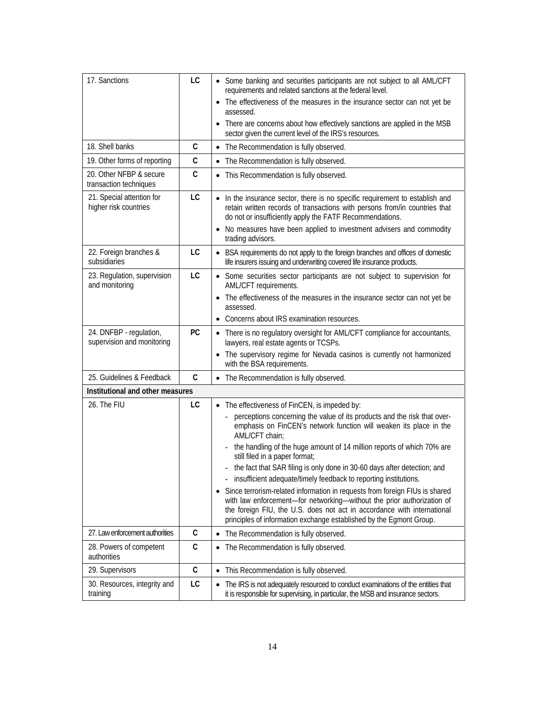| 17. Sanctions                                         | LC           | • Some banking and securities participants are not subject to all AML/CFT<br>requirements and related sanctions at the federal level.<br>The effectiveness of the measures in the insurance sector can not yet be<br>$\bullet$<br>assessed.<br>There are concerns about how effectively sanctions are applied in the MSB<br>$\bullet$<br>sector given the current level of the IRS's resources.                                                                                                                                                                                                                                                                                                                                                                                                                        |
|-------------------------------------------------------|--------------|------------------------------------------------------------------------------------------------------------------------------------------------------------------------------------------------------------------------------------------------------------------------------------------------------------------------------------------------------------------------------------------------------------------------------------------------------------------------------------------------------------------------------------------------------------------------------------------------------------------------------------------------------------------------------------------------------------------------------------------------------------------------------------------------------------------------|
| 18. Shell banks                                       | C            | The Recommendation is fully observed.<br>$\bullet$                                                                                                                                                                                                                                                                                                                                                                                                                                                                                                                                                                                                                                                                                                                                                                     |
| 19. Other forms of reporting                          | C            | • The Recommendation is fully observed.                                                                                                                                                                                                                                                                                                                                                                                                                                                                                                                                                                                                                                                                                                                                                                                |
| 20. Other NFBP & secure<br>transaction techniques     | $\mathsf{C}$ | • This Recommendation is fully observed.                                                                                                                                                                                                                                                                                                                                                                                                                                                                                                                                                                                                                                                                                                                                                                               |
| 21. Special attention for<br>higher risk countries    | LC           | • In the insurance sector, there is no specific requirement to establish and<br>retain written records of transactions with persons from/in countries that<br>do not or insufficiently apply the FATF Recommendations.                                                                                                                                                                                                                                                                                                                                                                                                                                                                                                                                                                                                 |
|                                                       |              | No measures have been applied to investment advisers and commodity<br>$\bullet$<br>trading advisors.                                                                                                                                                                                                                                                                                                                                                                                                                                                                                                                                                                                                                                                                                                                   |
| 22. Foreign branches &<br>subsidiaries                | LC           | • BSA requirements do not apply to the foreign branches and offices of domestic<br>life insurers issuing and underwriting covered life insurance products.                                                                                                                                                                                                                                                                                                                                                                                                                                                                                                                                                                                                                                                             |
| 23. Regulation, supervision<br>and monitoring         | LC           | • Some securities sector participants are not subject to supervision for<br>AML/CFT requirements.<br>The effectiveness of the measures in the insurance sector can not yet be<br>assessed.<br>Concerns about IRS examination resources.<br>$\bullet$                                                                                                                                                                                                                                                                                                                                                                                                                                                                                                                                                                   |
| 24. DNFBP - regulation,<br>supervision and monitoring | PC           | • There is no regulatory oversight for AML/CFT compliance for accountants,<br>lawyers, real estate agents or TCSPs.<br>The supervisory regime for Nevada casinos is currently not harmonized<br>with the BSA requirements.                                                                                                                                                                                                                                                                                                                                                                                                                                                                                                                                                                                             |
| 25. Guidelines & Feedback                             | $\mathsf{C}$ | The Recommendation is fully observed.<br>$\bullet$                                                                                                                                                                                                                                                                                                                                                                                                                                                                                                                                                                                                                                                                                                                                                                     |
| Institutional and other measures                      |              |                                                                                                                                                                                                                                                                                                                                                                                                                                                                                                                                                                                                                                                                                                                                                                                                                        |
| 26. The FIU                                           | LC           | • The effectiveness of FinCEN, is impeded by:<br>perceptions concerning the value of its products and the risk that over-<br>$\frac{1}{2}$<br>emphasis on FinCEN's network function will weaken its place in the<br>AML/CFT chain;<br>the handling of the huge amount of 14 million reports of which 70% are<br>still filed in a paper format;<br>the fact that SAR filing is only done in 30-60 days after detection; and<br>insufficient adequate/timely feedback to reporting institutions.<br>Since terrorism-related information in requests from foreign FIUs is shared<br>$\bullet$<br>with law enforcement-for networking-without the prior authorization of<br>the foreign FIU, the U.S. does not act in accordance with international<br>principles of information exchange established by the Egmont Group. |
| 27. Law enforcement authorities                       | С            | The Recommendation is fully observed.<br>$\bullet$                                                                                                                                                                                                                                                                                                                                                                                                                                                                                                                                                                                                                                                                                                                                                                     |
| 28. Powers of competent<br>authorities                | $\mathsf C$  | The Recommendation is fully observed.<br>$\bullet$                                                                                                                                                                                                                                                                                                                                                                                                                                                                                                                                                                                                                                                                                                                                                                     |
| 29. Supervisors                                       | С            | This Recommendation is fully observed.<br>$\bullet$                                                                                                                                                                                                                                                                                                                                                                                                                                                                                                                                                                                                                                                                                                                                                                    |
| 30. Resources, integrity and<br>training              | LC           | The IRS is not adequately resourced to conduct examinations of the entities that<br>$\bullet$<br>it is responsible for supervising, in particular, the MSB and insurance sectors.                                                                                                                                                                                                                                                                                                                                                                                                                                                                                                                                                                                                                                      |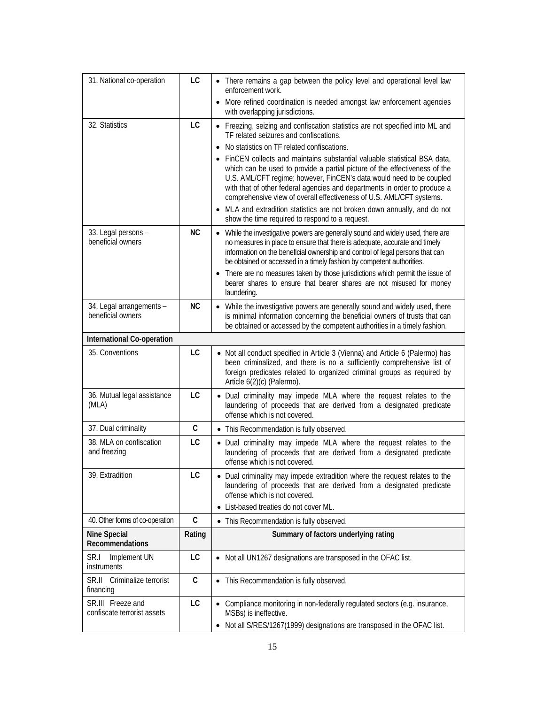| 31. National co-operation                        | LC        | • There remains a gap between the policy level and operational level law<br>enforcement work.<br>• More refined coordination is needed amongst law enforcement agencies                                                                                                                                                                                                                                                                                                                                                                                                                                                                                                                      |
|--------------------------------------------------|-----------|----------------------------------------------------------------------------------------------------------------------------------------------------------------------------------------------------------------------------------------------------------------------------------------------------------------------------------------------------------------------------------------------------------------------------------------------------------------------------------------------------------------------------------------------------------------------------------------------------------------------------------------------------------------------------------------------|
|                                                  |           | with overlapping jurisdictions.                                                                                                                                                                                                                                                                                                                                                                                                                                                                                                                                                                                                                                                              |
| 32. Statistics                                   | LC        | • Freezing, seizing and confiscation statistics are not specified into ML and<br>TF related seizures and confiscations.<br>No statistics on TF related confiscations.<br>FinCEN collects and maintains substantial valuable statistical BSA data,<br>which can be used to provide a partial picture of the effectiveness of the<br>U.S. AML/CFT regime; however, FinCEN's data would need to be coupled<br>with that of other federal agencies and departments in order to produce a<br>comprehensive view of overall effectiveness of U.S. AML/CFT systems.<br>• MLA and extradition statistics are not broken down annually, and do not<br>show the time required to respond to a request. |
| 33. Legal persons -<br>beneficial owners         | <b>NC</b> | • While the investigative powers are generally sound and widely used, there are<br>no measures in place to ensure that there is adequate, accurate and timely<br>information on the beneficial ownership and control of legal persons that can<br>be obtained or accessed in a timely fashion by competent authorities.<br>There are no measures taken by those jurisdictions which permit the issue of<br>$\bullet$<br>bearer shares to ensure that bearer shares are not misused for money<br>laundering.                                                                                                                                                                                  |
| 34. Legal arrangements -<br>beneficial owners    | <b>NC</b> | • While the investigative powers are generally sound and widely used, there<br>is minimal information concerning the beneficial owners of trusts that can<br>be obtained or accessed by the competent authorities in a timely fashion.                                                                                                                                                                                                                                                                                                                                                                                                                                                       |
| International Co-operation                       |           |                                                                                                                                                                                                                                                                                                                                                                                                                                                                                                                                                                                                                                                                                              |
| 35. Conventions                                  | LC        | • Not all conduct specified in Article 3 (Vienna) and Article 6 (Palermo) has<br>been criminalized, and there is no a sufficiently comprehensive list of<br>foreign predicates related to organized criminal groups as required by<br>Article 6(2)(c) (Palermo).                                                                                                                                                                                                                                                                                                                                                                                                                             |
| 36. Mutual legal assistance<br>(MLA)             | LC        | . Dual criminality may impede MLA where the request relates to the<br>laundering of proceeds that are derived from a designated predicate<br>offense which is not covered.                                                                                                                                                                                                                                                                                                                                                                                                                                                                                                                   |
| 37. Dual criminality                             | C         | • This Recommendation is fully observed.                                                                                                                                                                                                                                                                                                                                                                                                                                                                                                                                                                                                                                                     |
| 38. MLA on confiscation<br>and freezing          | LC        | • Dual criminality may impede MLA where the request relates to the<br>laundering of proceeds that are derived from a designated predicate<br>offense which is not covered.                                                                                                                                                                                                                                                                                                                                                                                                                                                                                                                   |
| 39. Extradition                                  | LC        | • Dual criminality may impede extradition where the request relates to the<br>laundering of proceeds that are derived from a designated predicate<br>offense which is not covered.<br>• List-based treaties do not cover ML.                                                                                                                                                                                                                                                                                                                                                                                                                                                                 |
| 40. Other forms of co-operation                  | C         | • This Recommendation is fully observed.                                                                                                                                                                                                                                                                                                                                                                                                                                                                                                                                                                                                                                                     |
| <b>Nine Special</b><br><b>Recommendations</b>    | Rating    | Summary of factors underlying rating                                                                                                                                                                                                                                                                                                                                                                                                                                                                                                                                                                                                                                                         |
| SR.I<br>Implement UN<br>instruments              | LC        | • Not all UN1267 designations are transposed in the OFAC list.                                                                                                                                                                                                                                                                                                                                                                                                                                                                                                                                                                                                                               |
| Criminalize terrorist<br>SR.II.<br>financing     | C         | • This Recommendation is fully observed.                                                                                                                                                                                                                                                                                                                                                                                                                                                                                                                                                                                                                                                     |
| SR.III Freeze and<br>confiscate terrorist assets | LC        | • Compliance monitoring in non-federally regulated sectors (e.g. insurance,<br>MSBs) is ineffective.<br>• Not all S/RES/1267(1999) designations are transposed in the OFAC list.                                                                                                                                                                                                                                                                                                                                                                                                                                                                                                             |